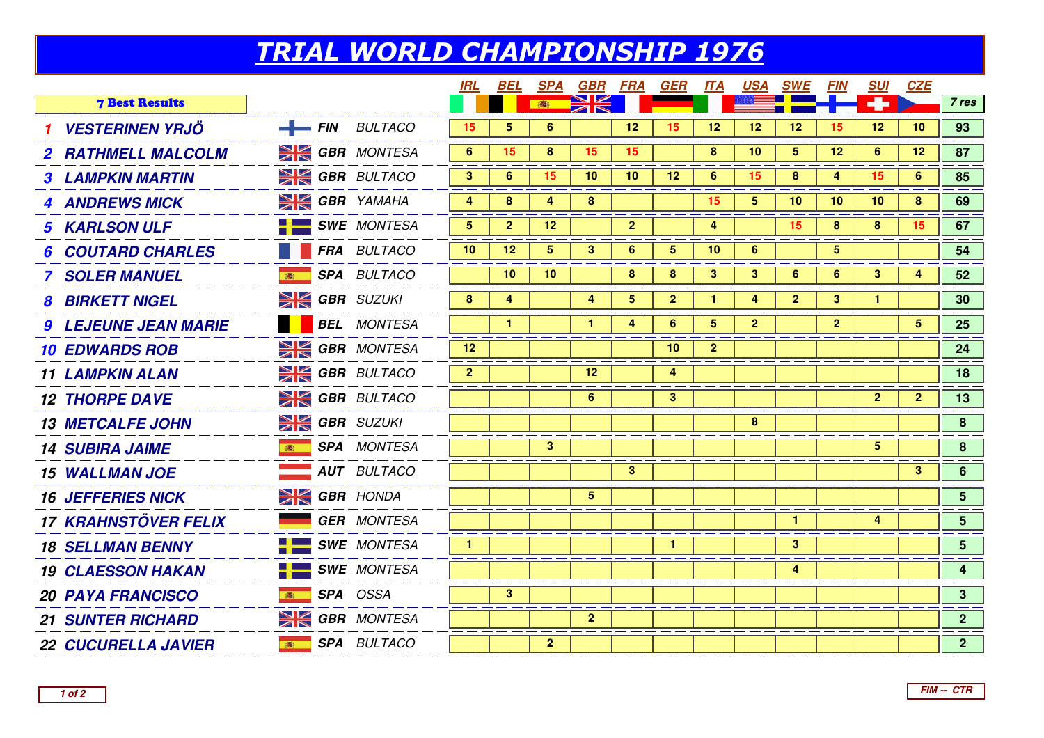## TRIAL WORLD CHAMPIONSHIP 1976

| <b>DK</b><br>۰<br><b>7 Best Results</b><br>高<br><b>VESTERINEN YRJÖ</b><br>$-FIN$ BULTACO<br>5<br>12<br>12<br>12<br>12<br>12<br>15<br>6<br>15<br>15<br>10<br><b>SK GBR</b> MONTESA<br>6<br>15<br>8<br>5 <sub>5</sub><br>12 <sub>2</sub><br>6<br>12<br>8<br>15<br>15<br>10<br>2 RATHMELL MALCOLM<br><b>SK GBR</b> BULTACO<br>3 <sup>2</sup><br>15<br>6<br>15<br>10<br>10<br>12<br>6<br>8<br>4<br>15<br>6<br><b>3 LAMPKIN MARTIN</b><br><b>SIGBR</b> YAMAHA<br>8<br>15<br>5<br>10<br>10<br>4<br>8<br>4<br>10<br>8<br><b>4 ANDREWS MICK</b> | 7 res<br>93<br>87<br>85<br>69 |
|-----------------------------------------------------------------------------------------------------------------------------------------------------------------------------------------------------------------------------------------------------------------------------------------------------------------------------------------------------------------------------------------------------------------------------------------------------------------------------------------------------------------------------------------|-------------------------------|
|                                                                                                                                                                                                                                                                                                                                                                                                                                                                                                                                         |                               |
|                                                                                                                                                                                                                                                                                                                                                                                                                                                                                                                                         |                               |
|                                                                                                                                                                                                                                                                                                                                                                                                                                                                                                                                         |                               |
|                                                                                                                                                                                                                                                                                                                                                                                                                                                                                                                                         |                               |
|                                                                                                                                                                                                                                                                                                                                                                                                                                                                                                                                         |                               |
| $\blacksquare$ SWE MONTESA<br>$5^{\circ}$<br>$\overline{2}$<br>$\mathbf{2}$<br>12<br>4<br>15 <sub>15</sub><br>8<br>8<br>15 <sub>1</sub><br><b>5 KARLSON ULF</b>                                                                                                                                                                                                                                                                                                                                                                         | 67                            |
| FRA BULTACO<br>10<br>12<br>$5\overline{)}$<br>$6^{\circ}$<br>$\overline{5}$<br>10<br>5<br>3<br>6<br><b>6 COUTARD CHARLES</b>                                                                                                                                                                                                                                                                                                                                                                                                            | 54                            |
| <b>SPA BULTACO</b><br>10<br>10<br>8<br>8<br>3<br>3<br>6<br>3<br><b>7 SOLER MANUEL</b><br>6<br>4                                                                                                                                                                                                                                                                                                                                                                                                                                         | 52                            |
| $\geq$ GBR SUZUKI<br>5 <sub>5</sub><br>$\overline{2}$<br>8<br>4<br>4<br>$\mathbf{2}$<br>3<br><b>8 BIRKETT NIGEL</b><br>$\mathbf{1}$<br>4<br>1                                                                                                                                                                                                                                                                                                                                                                                           | 30 <sub>o</sub>               |
| <b>BEL</b> MONTESA<br>6<br>$\overline{\mathbf{5}}$<br>$\mathbf{2}$<br>$\mathbf{1}$<br>$\mathbf{1}$<br>4<br>$\mathbf{2}$<br>5<br><b>9 LEJEUNE JEAN MARIE</b>                                                                                                                                                                                                                                                                                                                                                                             | 25                            |
| <b>SIGBR</b> MONTESA<br>$\overline{2}$<br>12<br>10<br><b>10 EDWARDS ROB</b>                                                                                                                                                                                                                                                                                                                                                                                                                                                             | 24                            |
| <b>EX GBR</b> BULTACO<br>$\overline{2}$<br>12<br>4<br><b>11 LAMPKIN ALAN</b>                                                                                                                                                                                                                                                                                                                                                                                                                                                            | 18                            |
| <b>EX GBR</b> BULTACO<br>6<br>3<br>$\overline{2}$<br>$\mathbf{2}$<br><b>12 THORPE DAVE</b>                                                                                                                                                                                                                                                                                                                                                                                                                                              | 13                            |
| $\geq$ GBR SUZUKI<br>8<br><b>13 METCALFE JOHN</b>                                                                                                                                                                                                                                                                                                                                                                                                                                                                                       | 8                             |
| <b>SPA</b> MONTESA<br>3<br>5 <sup>5</sup><br><b>14 SUBIRA JAIME</b><br>( 高)                                                                                                                                                                                                                                                                                                                                                                                                                                                             | 8 <sup>1</sup>                |
| <b>AUT BULTACO</b><br>3 <sup>1</sup><br>3 <sup>1</sup><br><b>15 WALLMAN JOE</b>                                                                                                                                                                                                                                                                                                                                                                                                                                                         | 6 <sup>1</sup>                |
| $\geq$ GBR HONDA<br>$\overline{5}$<br><b>16 JEFFERIES NICK</b>                                                                                                                                                                                                                                                                                                                                                                                                                                                                          | 5 <sup>1</sup>                |
| <b>17 KRAHNSTÖVER FELIX</b><br><b>GER MONTESA</b><br>$\mathbf{1}$<br>4                                                                                                                                                                                                                                                                                                                                                                                                                                                                  | 5 <sup>5</sup>                |
| $\blacksquare$ SWE MONTESA<br>3 <sup>2</sup><br>$\mathbf{1}$<br>$\mathbf{1}$<br><b>18 SELLMAN BENNY</b>                                                                                                                                                                                                                                                                                                                                                                                                                                 | 5 <sup>1</sup>                |
| <b>SWE</b> MONTESA<br>4<br><b>19 CLAESSON HAKAN</b>                                                                                                                                                                                                                                                                                                                                                                                                                                                                                     | $\overline{\mathbf{4}}$       |
| SPA OSSA<br>3<br><b>20 PAYA FRANCISCO</b><br>高                                                                                                                                                                                                                                                                                                                                                                                                                                                                                          | 3 <sup>1</sup>                |
| <b>SK GBR MONTESA</b><br>$\mathbf{2}$<br><b>21 SUNTER RICHARD</b>                                                                                                                                                                                                                                                                                                                                                                                                                                                                       | 2 <sup>7</sup>                |
| <b>SPA</b> BULTACO<br>$\mathbf{2}$<br><b>22 CUCURELLA JAVIER</b><br>高                                                                                                                                                                                                                                                                                                                                                                                                                                                                   | 2 <sup>7</sup>                |